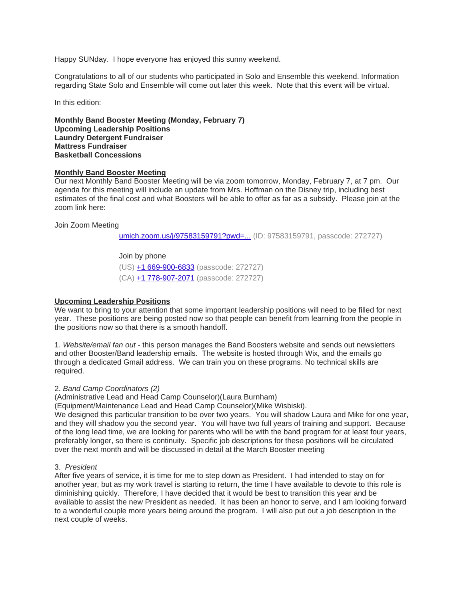Happy SUNday. I hope everyone has enjoyed this sunny weekend.

Congratulations to all of our students who participated in Solo and Ensemble this weekend. Information regarding State Solo and Ensemble will come out later this week. Note that this event will be virtual.

In this edition:

**Monthly Band Booster Meeting (Monday, February 7) Upcoming Leadership Positions Laundry Detergent Fundraiser Mattress Fundraiser Basketball Concessions**

### **Monthly Band Booster Meeting**

Our next Monthly Band Booster Meeting will be via zoom tomorrow, Monday, February 7, at 7 pm. Our agenda for this meeting will include an update from Mrs. Hoffman on the Disney trip, including best estimates of the final cost and what Boosters will be able to offer as far as a subsidy. Please join at the zoom link here:

### Join Zoom Meeting

[umich.zoom.us/j/97583159791?pwd=...](https://umich.zoom.us/j/97583159791?pwd=OXpyTEorQWg5aExGRG1FbkVPdStUZz09) (ID: 97583159791, passcode: 272727)

### Join by phone

(US) [+1 669-900-6833](tel:+16699006833,,97583159791) (passcode: 272727)

(CA) [+1 778-907-2071](tel:+17789072071,,97583159791) (passcode: 272727)

#### **Upcoming Leadership Positions**

We want to bring to your attention that some important leadership positions will need to be filled for next year. These positions are being posted now so that people can benefit from learning from the people in the positions now so that there is a smooth handoff.

1. *Website/email fan out* - this person manages the Band Boosters website and sends out newsletters and other Booster/Band leadership emails. The website is hosted through Wix, and the emails go through a dedicated Gmail address. We can train you on these programs. No technical skills are required.

### 2. *Band Camp Coordinators (2)*

(Administrative Lead and Head Camp Counselor)(Laura Burnham)

(Equipment/Maintenance Lead and Head Camp Counselor)(Mike Wisbiski).

We designed this particular transition to be over two years. You will shadow Laura and Mike for one vear. and they will shadow you the second year. You will have two full years of training and support. Because of the long lead time, we are looking for parents who will be with the band program for at least four years, preferably longer, so there is continuity. Specific job descriptions for these positions will be circulated over the next month and will be discussed in detail at the March Booster meeting

#### 3. *President*

After five years of service, it is time for me to step down as President. I had intended to stay on for another year, but as my work travel is starting to return, the time I have available to devote to this role is diminishing quickly. Therefore, I have decided that it would be best to transition this year and be available to assist the new President as needed. It has been an honor to serve, and I am looking forward to a wonderful couple more years being around the program. I will also put out a job description in the next couple of weeks.